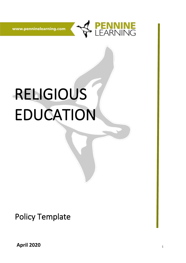

www.penninelearning.com

# RELIGIOUS EDUCATION

Policy Template

**April 2020**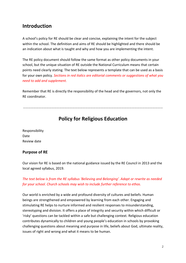## **Introduction**

A school's policy for RE should be clear and concise, explaining the intent for the subject within the school. The definition and aims of RE should be highlighted and there should be an indication about what is taught and why and how you are implementing the intent.

The RE policy document should follow the same format as other policy documents in your school, but the unique situation of RE outside the National Curriculum means that certain points need clearly stating. The text below represents a template that can be used as a basis for your own policy. *Sections in red italics are editorial comments or suggestions of what you need to add and supplement.*

Remember that RE is directly the responsibility of the head and the governors, not only the RE coordinator.

………………………………………………………………………………………………………………………………………………

## **Policy for Religious Education**

Responsibility Date Review date

#### **Purpose of RE**

Our vision for RE is based on the national guidance issued by the RE Council in 2013 and the local agreed syllabus, 2019.

#### *The text below is from the RE syllabus 'Believing and Belonging'. Adapt or rewrite as needed for your school. Church schools may wish to include further reference to ethos.*

Our world is enriched by a wide and profound diversity of cultures and beliefs. Human beings are strengthened and empowered by learning from each other. Engaging and stimulating RE helps to nurture informed and resilient responses to misunderstanding, stereotyping and division. It offers a place of integrity and security within which difficult or 'risky' questions can be tackled within a safe but challenging context. Religious education contributes dynamically to children and young people's education in schools by provoking challenging questions about meaning and purpose in life, beliefs about God, ultimate reality, issues of right and wrong and what it means to be human.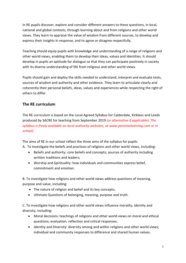In RE pupils discover, explore and consider different answers to these questions, in local, national and global contexts, through learning about and from religions and other world views. They learn to appraise the value of wisdom from different sources, to develop and express their insights in response, and to agree or disagree respectfully.

Teaching should equip pupils with knowledge and understanding of a range of religions and other world views, enabling them to develop their ideas, values and identities. It should develop in pupils an aptitude for dialogue so that they can participate positively in society with its diverse understanding of life from religious and other world views.

Pupils should gain and deploy the skills needed to understand, interpret and evaluate texts, sources of wisdom and authority and other evidence. They learn to articulate clearly and coherently their personal beliefs, ideas, values and experiences while respecting the right of others to differ.

### **The RE curriculum**

The RE curriculum is based on the Local Agreed Syllabus for Calderdale, Kirklees and Leeds produced by SACRE for teaching from September 2019 (*or alternative if applicable). The syllabus is freely available on local authority websites, at www.penninelearning.com or in school).* 

The aims of RE in our school reflect the three aims of the syllabus for pupils: A. To investigate the beliefs and practices of religions and other world views, including:

- Beliefs and authority: core beliefs and concepts; sources of authority including written traditions and leaders;
- Worship and Spirituality: how individuals and communities express belief, commitment and emotion.

B. To investigate how religions and other world views address questions of meaning, purpose and value, including:

- The nature of religion and belief and its key concepts;
- Ultimate Questions of belonging, meaning, purpose and truth.

C. To investigate how religions and other world views influence morality, identity and diversity, including:

- Moral decisions: teachings of religions and other world views on moral and ethical questions; evaluation, reflection and critical responses;
- Identity and Diversity: diversity among and within religions and other world views; individual and community responses to difference and shared human values.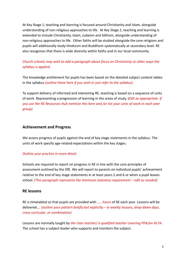At Key Stage 1, teaching and learning is focused around Christianity and Islam, alongside understanding of non-religious approaches to life. At Key Stage 2, teaching and learning is extended to include Christianity, Islam, Judaism and Sikhism, alongside understanding of non-religious approaches to life. Other faiths will be studied alongside the core religions and pupils will additionally study Hinduism and Buddhism systematically at secondary level. RE also recognises that there is wide diversity within faiths and in our local community.

#### *Church schools may wish to add a paragraph about focus on Christianity or other ways the syllabus is applied.*

The knowledge entitlement for pupils has been based on the detailed subject content tables in the syllabus *(outline these here if you wish or just refer to the syllabus).*

To support delivery of informed and interesting RE, teaching is based on a sequence of units of work. Representing a progression of learning in the areas of study. (*Edit as appropriate. If you use the RE Resources Hub mention this here and /or list your units of work in each year group)* 

#### **Achievement and Progress**

We assess progress of pupils against the end of key stage statements in the syllabus. The units of work specify age-related expectations within the key stages.

#### *Outline your practice in more detail.*

Schools are required to report on progress in RE in line with the core principles of assessment outlined by the DfE. We will report to parents on individual pupils' achievement relative to the end of key stage statements in at least years 2 and 6 or when a pupil leaves school. *(This paragraph represents the minimum statutory requirement – edit as needed)* 

#### **RE lessons**

RE is timetabled so that pupils are provided with *….. hours* of RE each year. Lessons will be delivered…. *(outline your pattern briefly but explicitly – ie weekly lessons, drop-down days, cross curricular, or combination)*

Lessons are normally taught by *the class teacher/ a qualified teacher covering PPA/an HLTA.* The school has a subject leader who supports and monitors the subject.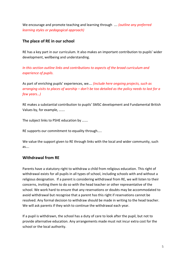We encourage and promote teaching and learning through …. *(outline any preferred learning styles or pedagogical approach)*

#### **The place of RE in our school**

RE has a key part in our curriculum. It also makes an important contribution to pupils' wider development, wellbeing and understanding.

*In this section outline links and contributions to aspects of the broad curriculum and experience of pupils.*

As part of enriching pupils' experiences, we…. *(include here ongoing projects, such as arranging visits to places of worship – don't be too detailed as the policy needs to last for a few years…)*

RE makes a substantial contribution to pupils' SMSC development and Fundamental British Values by, for example, …….

The subject links to PSHE education by …….

RE supports our commitment to equality through…..

We value the support given to RE through links with the local and wider community, such as….

#### **Withdrawal from RE**

Parents have a statutory right to withdraw a child from religious education. This right of withdrawal exists for all pupils in all types of school, including schools with and without a religious designation. If a parent is considering withdrawal from RE, we will listen to their concerns, inviting them to do so with the head teacher or other representative of the school. We work hard to ensure that any reservations or doubts may be accommodated to avoid withdrawal but recognise that a parent has this right if reservations cannot be resolved. Any formal decision to withdraw should be made in writing to the head teacher. We will ask parents if they wish to continue the withdrawal each year.

If a pupil is withdrawn, the school has a duty of care to look after the pupil, but not to provide alternative education. Any arrangements made must not incur extra cost for the school or the local authority.